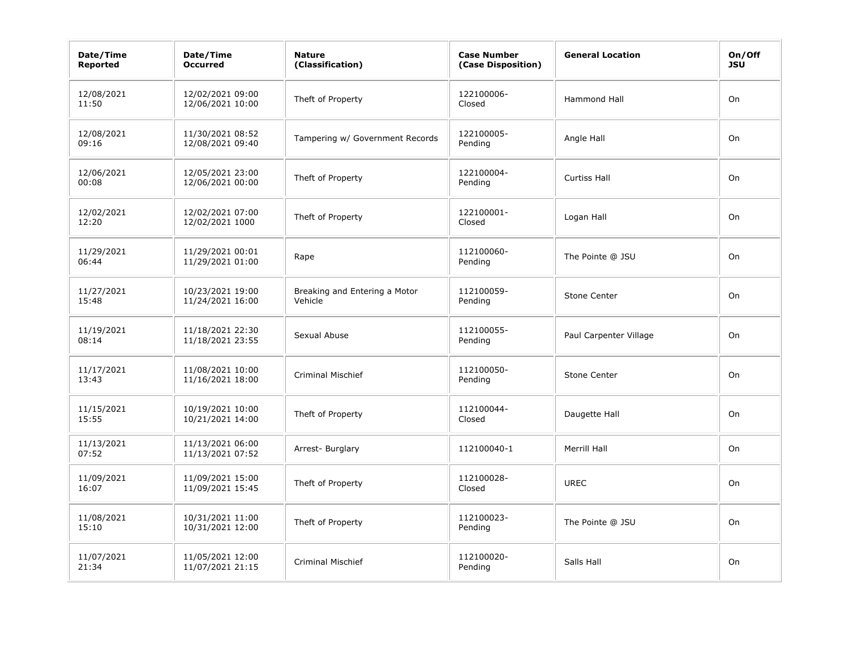| Date/Time<br><b>Reported</b> | Date/Time<br><b>Occurred</b>         | <b>Nature</b><br>(Classification)        | <b>Case Number</b><br>(Case Disposition) | <b>General Location</b> | On/Off<br><b>JSU</b> |
|------------------------------|--------------------------------------|------------------------------------------|------------------------------------------|-------------------------|----------------------|
| 12/08/2021<br>11:50          | 12/02/2021 09:00<br>12/06/2021 10:00 | Theft of Property                        | 122100006-<br>Closed                     | <b>Hammond Hall</b>     | On                   |
| 12/08/2021<br>09:16          | 11/30/2021 08:52<br>12/08/2021 09:40 | Tampering w/ Government Records          | 122100005-<br>Pending                    | Angle Hall              | On                   |
| 12/06/2021<br>00:08          | 12/05/2021 23:00<br>12/06/2021 00:00 | Theft of Property                        | 122100004-<br>Pending                    | <b>Curtiss Hall</b>     | On                   |
| 12/02/2021<br>12:20          | 12/02/2021 07:00<br>12/02/2021 1000  | Theft of Property                        | 122100001-<br>Closed                     | Logan Hall              | On                   |
| 11/29/2021<br>06:44          | 11/29/2021 00:01<br>11/29/2021 01:00 | Rape                                     | 112100060-<br>Pending                    | The Pointe @ JSU        | On                   |
| 11/27/2021<br>15:48          | 10/23/2021 19:00<br>11/24/2021 16:00 | Breaking and Entering a Motor<br>Vehicle | 112100059-<br>Pending                    | Stone Center            | On                   |
| 11/19/2021<br>08:14          | 11/18/2021 22:30<br>11/18/2021 23:55 | Sexual Abuse                             | 112100055-<br>Pending                    | Paul Carpenter Village  | On                   |
| 11/17/2021<br>13:43          | 11/08/2021 10:00<br>11/16/2021 18:00 | <b>Criminal Mischief</b>                 | 112100050-<br>Pending                    | <b>Stone Center</b>     | On                   |
| 11/15/2021<br>15:55          | 10/19/2021 10:00<br>10/21/2021 14:00 | Theft of Property                        | 112100044-<br>Closed                     | Daugette Hall           | On                   |
| 11/13/2021<br>07:52          | 11/13/2021 06:00<br>11/13/2021 07:52 | Arrest- Burglary                         | 112100040-1                              | Merrill Hall            | On                   |
| 11/09/2021<br>16:07          | 11/09/2021 15:00<br>11/09/2021 15:45 | Theft of Property                        | 112100028-<br>Closed                     | <b>UREC</b>             | On                   |
| 11/08/2021<br>15:10          | 10/31/2021 11:00<br>10/31/2021 12:00 | Theft of Property                        | 112100023-<br>Pending                    | The Pointe @ JSU        | On                   |
| 11/07/2021<br>21:34          | 11/05/2021 12:00<br>11/07/2021 21:15 | <b>Criminal Mischief</b>                 | 112100020-<br>Pending                    | Salls Hall              | On                   |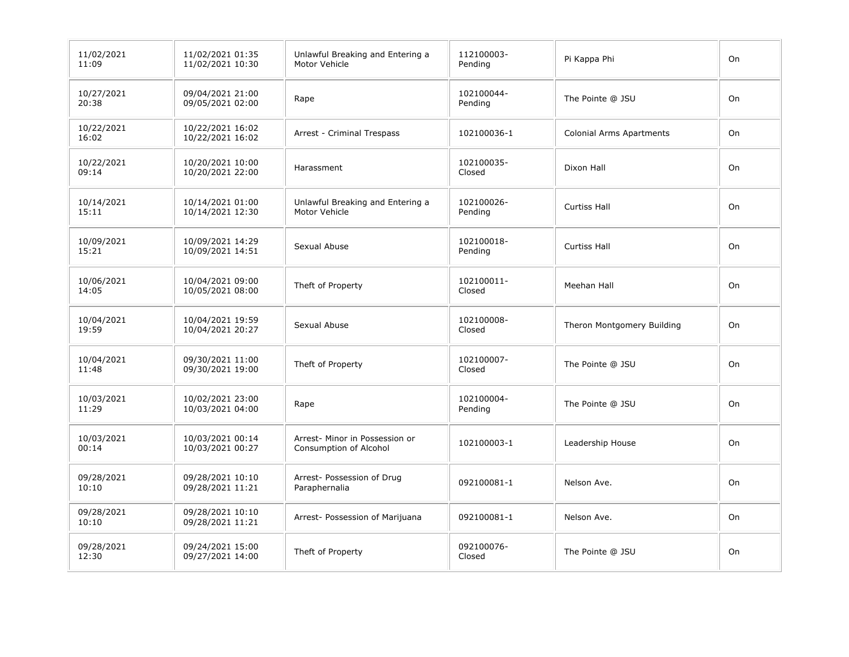| 11/02/2021<br>11:09 | 11/02/2021 01:35<br>11/02/2021 10:30 | Unlawful Breaking and Entering a<br>Motor Vehicle        | 112100003-<br>Pending | Pi Kappa Phi                    | On |
|---------------------|--------------------------------------|----------------------------------------------------------|-----------------------|---------------------------------|----|
| 10/27/2021<br>20:38 | 09/04/2021 21:00<br>09/05/2021 02:00 | Rape                                                     | 102100044-<br>Pending | The Pointe @ JSU                | On |
| 10/22/2021<br>16:02 | 10/22/2021 16:02<br>10/22/2021 16:02 | Arrest - Criminal Trespass                               | 102100036-1           | <b>Colonial Arms Apartments</b> | On |
| 10/22/2021<br>09:14 | 10/20/2021 10:00<br>10/20/2021 22:00 | Harassment                                               | 102100035-<br>Closed  | Dixon Hall                      | On |
| 10/14/2021<br>15:11 | 10/14/2021 01:00<br>10/14/2021 12:30 | Unlawful Breaking and Entering a<br>Motor Vehicle        | 102100026-<br>Pending | <b>Curtiss Hall</b>             | On |
| 10/09/2021<br>15:21 | 10/09/2021 14:29<br>10/09/2021 14:51 | Sexual Abuse                                             | 102100018-<br>Pending | <b>Curtiss Hall</b>             | On |
| 10/06/2021<br>14:05 | 10/04/2021 09:00<br>10/05/2021 08:00 | Theft of Property                                        | 102100011-<br>Closed  | Meehan Hall                     | On |
| 10/04/2021<br>19:59 | 10/04/2021 19:59<br>10/04/2021 20:27 | Sexual Abuse                                             | 102100008-<br>Closed  | Theron Montgomery Building      | On |
| 10/04/2021<br>11:48 | 09/30/2021 11:00<br>09/30/2021 19:00 | Theft of Property                                        | 102100007-<br>Closed  | The Pointe @ JSU                | On |
| 10/03/2021<br>11:29 | 10/02/2021 23:00<br>10/03/2021 04:00 | Rape                                                     | 102100004-<br>Pending | The Pointe @ JSU                | On |
| 10/03/2021<br>00:14 | 10/03/2021 00:14<br>10/03/2021 00:27 | Arrest- Minor in Possession or<br>Consumption of Alcohol | 102100003-1           | Leadership House                | On |
| 09/28/2021<br>10:10 | 09/28/2021 10:10<br>09/28/2021 11:21 | Arrest- Possession of Drug<br>Paraphernalia              | 092100081-1           | Nelson Ave.                     | On |
| 09/28/2021<br>10:10 | 09/28/2021 10:10<br>09/28/2021 11:21 | Arrest- Possession of Marijuana                          | 092100081-1           | Nelson Ave.                     | On |
| 09/28/2021<br>12:30 | 09/24/2021 15:00<br>09/27/2021 14:00 | Theft of Property                                        | 092100076-<br>Closed  | The Pointe @ JSU                | On |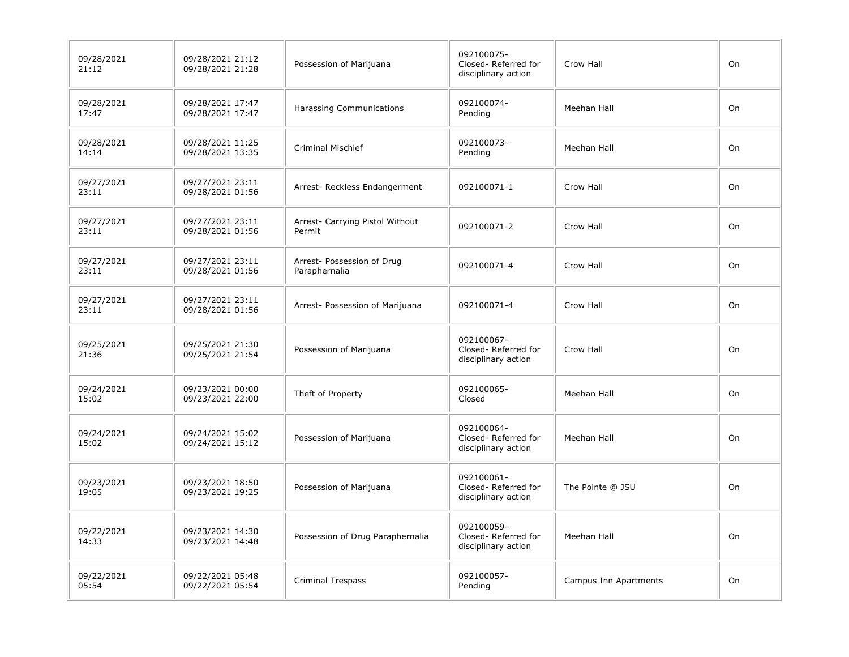| 09/28/2021<br>21:12 | 09/28/2021 21:12<br>09/28/2021 21:28 | Possession of Marijuana                     | 092100075-<br>Closed-Referred for<br>disciplinary action | Crow Hall             | On |
|---------------------|--------------------------------------|---------------------------------------------|----------------------------------------------------------|-----------------------|----|
| 09/28/2021<br>17:47 | 09/28/2021 17:47<br>09/28/2021 17:47 | Harassing Communications                    | 092100074-<br>Pending                                    | Meehan Hall           | On |
| 09/28/2021<br>14:14 | 09/28/2021 11:25<br>09/28/2021 13:35 | <b>Criminal Mischief</b>                    | 092100073-<br>Pending                                    | Meehan Hall           | On |
| 09/27/2021<br>23:11 | 09/27/2021 23:11<br>09/28/2021 01:56 | Arrest- Reckless Endangerment               | 092100071-1                                              | Crow Hall             | On |
| 09/27/2021<br>23:11 | 09/27/2021 23:11<br>09/28/2021 01:56 | Arrest- Carrying Pistol Without<br>Permit   | 092100071-2                                              | Crow Hall             | On |
| 09/27/2021<br>23:11 | 09/27/2021 23:11<br>09/28/2021 01:56 | Arrest- Possession of Drug<br>Paraphernalia | 092100071-4                                              | Crow Hall             | On |
| 09/27/2021<br>23:11 | 09/27/2021 23:11<br>09/28/2021 01:56 | Arrest- Possession of Marijuana             | 092100071-4                                              | Crow Hall             | On |
| 09/25/2021<br>21:36 | 09/25/2021 21:30<br>09/25/2021 21:54 | Possession of Marijuana                     | 092100067-<br>Closed-Referred for<br>disciplinary action | Crow Hall             | On |
| 09/24/2021<br>15:02 | 09/23/2021 00:00<br>09/23/2021 22:00 | Theft of Property                           | 092100065-<br>Closed                                     | Meehan Hall           | On |
| 09/24/2021<br>15:02 | 09/24/2021 15:02<br>09/24/2021 15:12 | Possession of Marijuana                     | 092100064-<br>Closed-Referred for<br>disciplinary action | Meehan Hall           | On |
| 09/23/2021<br>19:05 | 09/23/2021 18:50<br>09/23/2021 19:25 | Possession of Marijuana                     | 092100061-<br>Closed-Referred for<br>disciplinary action | The Pointe @ JSU      | On |
| 09/22/2021<br>14:33 | 09/23/2021 14:30<br>09/23/2021 14:48 | Possession of Drug Paraphernalia            | 092100059-<br>Closed-Referred for<br>disciplinary action | Meehan Hall           | On |
| 09/22/2021<br>05:54 | 09/22/2021 05:48<br>09/22/2021 05:54 | <b>Criminal Trespass</b>                    | 092100057-<br>Pending                                    | Campus Inn Apartments | On |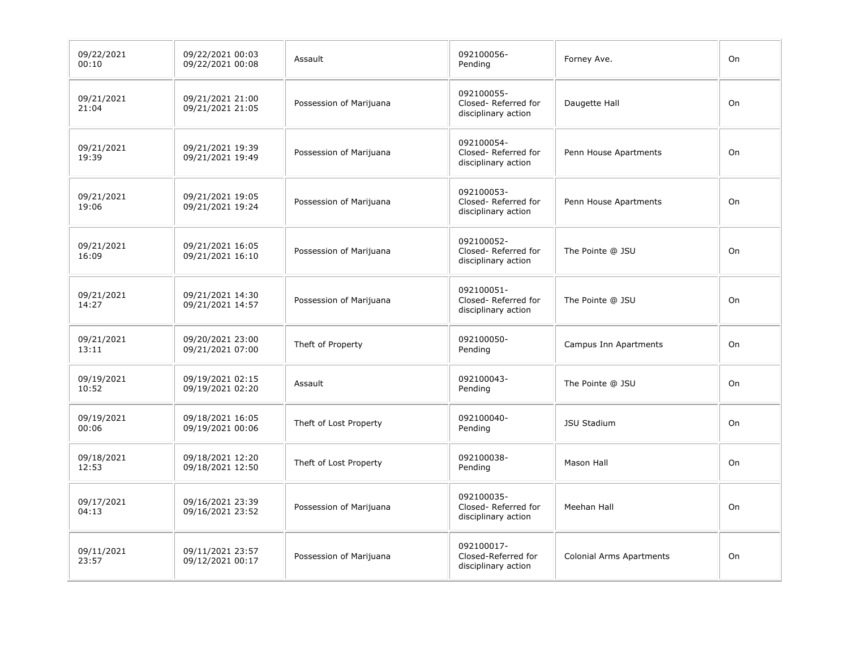| 09/22/2021<br>00:10 | 09/22/2021 00:03<br>09/22/2021 00:08 | Assault                 | 092100056-<br>Pending                                    | Forney Ave.                     | On |
|---------------------|--------------------------------------|-------------------------|----------------------------------------------------------|---------------------------------|----|
| 09/21/2021<br>21:04 | 09/21/2021 21:00<br>09/21/2021 21:05 | Possession of Marijuana | 092100055-<br>Closed-Referred for<br>disciplinary action | Daugette Hall                   | On |
| 09/21/2021<br>19:39 | 09/21/2021 19:39<br>09/21/2021 19:49 | Possession of Marijuana | 092100054-<br>Closed-Referred for<br>disciplinary action | Penn House Apartments           | On |
| 09/21/2021<br>19:06 | 09/21/2021 19:05<br>09/21/2021 19:24 | Possession of Marijuana | 092100053-<br>Closed-Referred for<br>disciplinary action | Penn House Apartments           | On |
| 09/21/2021<br>16:09 | 09/21/2021 16:05<br>09/21/2021 16:10 | Possession of Marijuana | 092100052-<br>Closed-Referred for<br>disciplinary action | The Pointe @ JSU                | On |
| 09/21/2021<br>14:27 | 09/21/2021 14:30<br>09/21/2021 14:57 | Possession of Marijuana | 092100051-<br>Closed-Referred for<br>disciplinary action | The Pointe @ JSU                | On |
| 09/21/2021<br>13:11 | 09/20/2021 23:00<br>09/21/2021 07:00 | Theft of Property       | 092100050-<br>Pending                                    | <b>Campus Inn Apartments</b>    | On |
| 09/19/2021<br>10:52 | 09/19/2021 02:15<br>09/19/2021 02:20 | Assault                 | 092100043-<br>Pending                                    | The Pointe @ JSU                | On |
| 09/19/2021<br>00:06 | 09/18/2021 16:05<br>09/19/2021 00:06 | Theft of Lost Property  | 092100040-<br>Pending                                    | <b>JSU Stadium</b>              | On |
| 09/18/2021<br>12:53 | 09/18/2021 12:20<br>09/18/2021 12:50 | Theft of Lost Property  | 092100038-<br>Pending                                    | Mason Hall                      | On |
| 09/17/2021<br>04:13 | 09/16/2021 23:39<br>09/16/2021 23:52 | Possession of Marijuana | 092100035-<br>Closed-Referred for<br>disciplinary action | Meehan Hall                     | On |
| 09/11/2021<br>23:57 | 09/11/2021 23:57<br>09/12/2021 00:17 | Possession of Marijuana | 092100017-<br>Closed-Referred for<br>disciplinary action | <b>Colonial Arms Apartments</b> | On |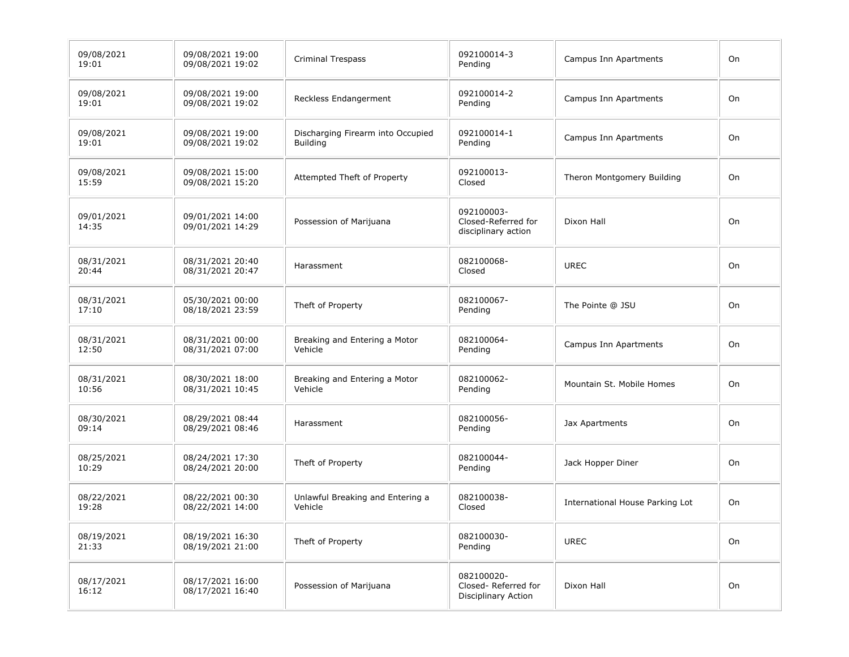| 09/08/2021<br>19:01 | 09/08/2021 19:00<br>09/08/2021 19:02 | <b>Criminal Trespass</b>                             | 092100014-3<br>Pending                                   | <b>Campus Inn Apartments</b>    | On |
|---------------------|--------------------------------------|------------------------------------------------------|----------------------------------------------------------|---------------------------------|----|
| 09/08/2021<br>19:01 | 09/08/2021 19:00<br>09/08/2021 19:02 | Reckless Endangerment                                | 092100014-2<br>Pending                                   | Campus Inn Apartments           | On |
| 09/08/2021<br>19:01 | 09/08/2021 19:00<br>09/08/2021 19:02 | Discharging Firearm into Occupied<br><b>Building</b> | 092100014-1<br>Pending                                   | Campus Inn Apartments           | On |
| 09/08/2021<br>15:59 | 09/08/2021 15:00<br>09/08/2021 15:20 | Attempted Theft of Property                          | 092100013-<br>Closed                                     | Theron Montgomery Building      | On |
| 09/01/2021<br>14:35 | 09/01/2021 14:00<br>09/01/2021 14:29 | Possession of Marijuana                              | 092100003-<br>Closed-Referred for<br>disciplinary action | Dixon Hall                      | On |
| 08/31/2021<br>20:44 | 08/31/2021 20:40<br>08/31/2021 20:47 | Harassment                                           | 082100068-<br>Closed                                     | <b>UREC</b>                     | On |
| 08/31/2021<br>17:10 | 05/30/2021 00:00<br>08/18/2021 23:59 | Theft of Property                                    | 082100067-<br>Pending                                    | The Pointe @ JSU                | On |
| 08/31/2021<br>12:50 | 08/31/2021 00:00<br>08/31/2021 07:00 | Breaking and Entering a Motor<br>Vehicle             | 082100064-<br>Pending                                    | Campus Inn Apartments           | On |
| 08/31/2021<br>10:56 | 08/30/2021 18:00<br>08/31/2021 10:45 | Breaking and Entering a Motor<br>Vehicle             | 082100062-<br>Pending                                    | Mountain St. Mobile Homes       | On |
| 08/30/2021<br>09:14 | 08/29/2021 08:44<br>08/29/2021 08:46 | Harassment                                           | 082100056-<br>Pending                                    | Jax Apartments                  | On |
| 08/25/2021<br>10:29 | 08/24/2021 17:30<br>08/24/2021 20:00 | Theft of Property                                    | 082100044-<br>Pending                                    | Jack Hopper Diner               | On |
| 08/22/2021<br>19:28 | 08/22/2021 00:30<br>08/22/2021 14:00 | Unlawful Breaking and Entering a<br>Vehicle          | 082100038-<br>Closed                                     | International House Parking Lot | On |
| 08/19/2021<br>21:33 | 08/19/2021 16:30<br>08/19/2021 21:00 | Theft of Property                                    | 082100030-<br>Pending                                    | <b>UREC</b>                     | On |
| 08/17/2021<br>16:12 | 08/17/2021 16:00<br>08/17/2021 16:40 | Possession of Marijuana                              | 082100020-<br>Closed-Referred for<br>Disciplinary Action | Dixon Hall                      | On |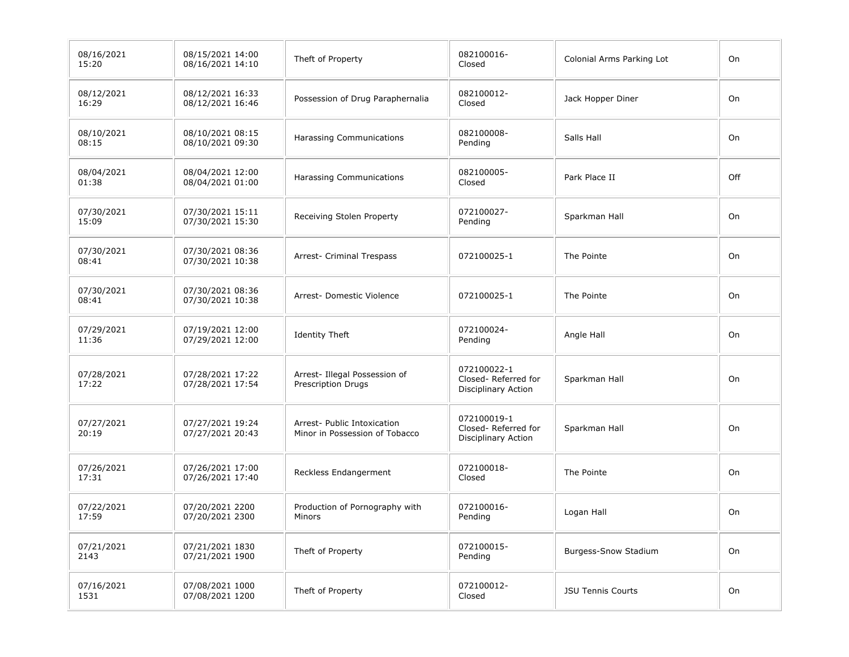| 08/16/2021<br>15:20 | 08/15/2021 14:00<br>08/16/2021 14:10 | Theft of Property                                             | 082100016-<br>Closed                                      | Colonial Arms Parking Lot | On  |
|---------------------|--------------------------------------|---------------------------------------------------------------|-----------------------------------------------------------|---------------------------|-----|
| 08/12/2021<br>16:29 | 08/12/2021 16:33<br>08/12/2021 16:46 | Possession of Drug Paraphernalia                              | 082100012-<br>Closed                                      | Jack Hopper Diner         | On  |
| 08/10/2021<br>08:15 | 08/10/2021 08:15<br>08/10/2021 09:30 | Harassing Communications                                      | 082100008-<br>Pending                                     | Salls Hall                | On  |
| 08/04/2021<br>01:38 | 08/04/2021 12:00<br>08/04/2021 01:00 | <b>Harassing Communications</b>                               | 082100005-<br>Closed                                      | Park Place II             | Off |
| 07/30/2021<br>15:09 | 07/30/2021 15:11<br>07/30/2021 15:30 | Receiving Stolen Property                                     | 072100027-<br>Pending                                     | Sparkman Hall             | On  |
| 07/30/2021<br>08:41 | 07/30/2021 08:36<br>07/30/2021 10:38 | Arrest- Criminal Trespass                                     | 072100025-1                                               | The Pointe                | On  |
| 07/30/2021<br>08:41 | 07/30/2021 08:36<br>07/30/2021 10:38 | Arrest- Domestic Violence                                     | 072100025-1                                               | The Pointe                | On  |
| 07/29/2021<br>11:36 | 07/19/2021 12:00<br>07/29/2021 12:00 | <b>Identity Theft</b>                                         | 072100024-<br>Pending                                     | Angle Hall                | On  |
| 07/28/2021<br>17:22 | 07/28/2021 17:22<br>07/28/2021 17:54 | Arrest- Illegal Possession of<br><b>Prescription Drugs</b>    | 072100022-1<br>Closed-Referred for<br>Disciplinary Action | Sparkman Hall             | On  |
| 07/27/2021<br>20:19 | 07/27/2021 19:24<br>07/27/2021 20:43 | Arrest- Public Intoxication<br>Minor in Possession of Tobacco | 072100019-1<br>Closed-Referred for<br>Disciplinary Action | Sparkman Hall             | On  |
| 07/26/2021<br>17:31 | 07/26/2021 17:00<br>07/26/2021 17:40 | Reckless Endangerment                                         | 072100018-<br>Closed                                      | The Pointe                | On  |
| 07/22/2021<br>17:59 | 07/20/2021 2200<br>07/20/2021 2300   | Production of Pornography with<br>Minors                      | 072100016-<br>Pending                                     | Logan Hall                | On  |
| 07/21/2021<br>2143  | 07/21/2021 1830<br>07/21/2021 1900   | Theft of Property                                             | 072100015-<br>Pending                                     | Burgess-Snow Stadium      | On  |
| 07/16/2021<br>1531  | 07/08/2021 1000<br>07/08/2021 1200   | Theft of Property                                             | 072100012-<br>Closed                                      | <b>JSU Tennis Courts</b>  | On  |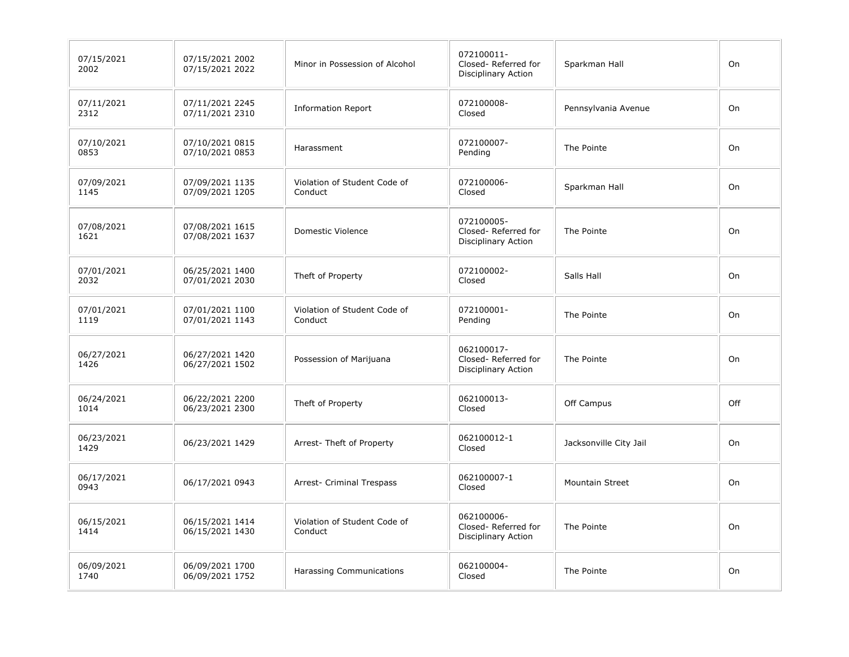| 07/15/2021<br>2002 | 07/15/2021 2002<br>07/15/2021 2022 | Minor in Possession of Alcohol          | 072100011-<br>Closed-Referred for<br>Disciplinary Action        | Sparkman Hall          | On  |
|--------------------|------------------------------------|-----------------------------------------|-----------------------------------------------------------------|------------------------|-----|
| 07/11/2021<br>2312 | 07/11/2021 2245<br>07/11/2021 2310 | <b>Information Report</b>               | 072100008-<br>Closed                                            | Pennsylvania Avenue    | On  |
| 07/10/2021<br>0853 | 07/10/2021 0815<br>07/10/2021 0853 | Harassment                              | 072100007-<br>Pending                                           | The Pointe             | On  |
| 07/09/2021<br>1145 | 07/09/2021 1135<br>07/09/2021 1205 | Violation of Student Code of<br>Conduct | 072100006-<br>Closed                                            | Sparkman Hall          | On  |
| 07/08/2021<br>1621 | 07/08/2021 1615<br>07/08/2021 1637 | Domestic Violence                       | 072100005-<br>Closed-Referred for<br>Disciplinary Action        | The Pointe             | On  |
| 07/01/2021<br>2032 | 06/25/2021 1400<br>07/01/2021 2030 | Theft of Property                       | 072100002-<br>Closed                                            | Salls Hall             | On  |
| 07/01/2021<br>1119 | 07/01/2021 1100<br>07/01/2021 1143 | Violation of Student Code of<br>Conduct | 072100001-<br>Pending                                           | The Pointe             | On  |
| 06/27/2021<br>1426 | 06/27/2021 1420<br>06/27/2021 1502 | Possession of Marijuana                 | 062100017-<br>Closed-Referred for<br><b>Disciplinary Action</b> | The Pointe             | On  |
| 06/24/2021<br>1014 | 06/22/2021 2200<br>06/23/2021 2300 | Theft of Property                       | 062100013-<br>Closed                                            | Off Campus             | Off |
| 06/23/2021<br>1429 | 06/23/2021 1429                    | Arrest-Theft of Property                | 062100012-1<br>Closed                                           | Jacksonville City Jail | On  |
| 06/17/2021<br>0943 | 06/17/2021 0943                    | Arrest- Criminal Trespass               | 062100007-1<br>Closed                                           | <b>Mountain Street</b> | On  |
| 06/15/2021<br>1414 | 06/15/2021 1414<br>06/15/2021 1430 | Violation of Student Code of<br>Conduct | 062100006-<br>Closed-Referred for<br>Disciplinary Action        | The Pointe             | On  |
| 06/09/2021<br>1740 | 06/09/2021 1700<br>06/09/2021 1752 | <b>Harassing Communications</b>         | 062100004-<br>Closed                                            | The Pointe             | On  |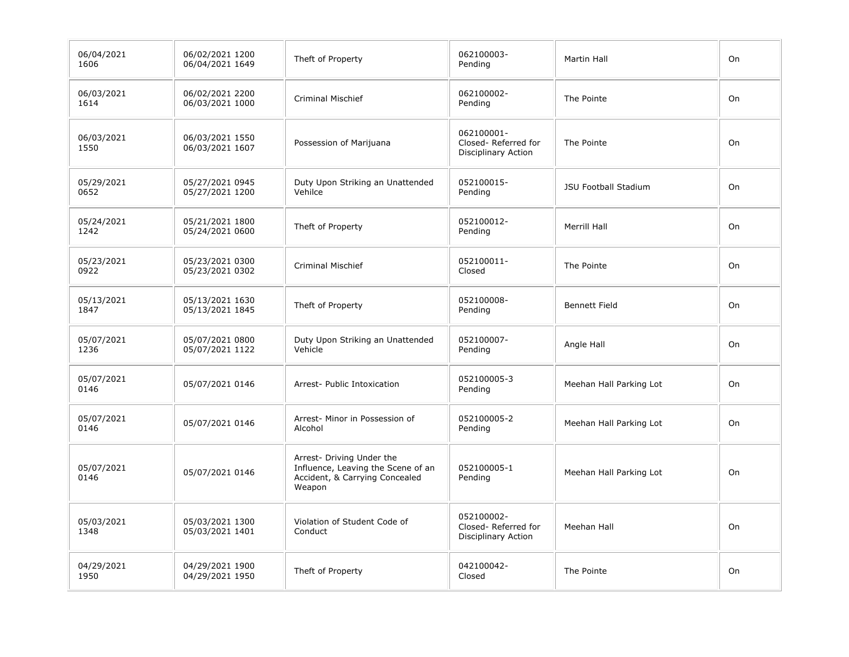| 06/04/2021<br>1606 | 06/02/2021 1200<br>06/04/2021 1649 | Theft of Property                                                                                           | 062100003-<br>Pending                                    | <b>Martin Hall</b>          | On |
|--------------------|------------------------------------|-------------------------------------------------------------------------------------------------------------|----------------------------------------------------------|-----------------------------|----|
| 06/03/2021<br>1614 | 06/02/2021 2200<br>06/03/2021 1000 | <b>Criminal Mischief</b>                                                                                    | 062100002-<br>Pending                                    | The Pointe                  | On |
| 06/03/2021<br>1550 | 06/03/2021 1550<br>06/03/2021 1607 | Possession of Marijuana                                                                                     | 062100001-<br>Closed-Referred for<br>Disciplinary Action | The Pointe                  | On |
| 05/29/2021<br>0652 | 05/27/2021 0945<br>05/27/2021 1200 | Duty Upon Striking an Unattended<br>Vehilce                                                                 | 052100015-<br>Pending                                    | <b>JSU Football Stadium</b> | On |
| 05/24/2021<br>1242 | 05/21/2021 1800<br>05/24/2021 0600 | Theft of Property                                                                                           | 052100012-<br>Pending                                    | Merrill Hall                | On |
| 05/23/2021<br>0922 | 05/23/2021 0300<br>05/23/2021 0302 | <b>Criminal Mischief</b>                                                                                    | 052100011-<br>Closed                                     | The Pointe                  | On |
| 05/13/2021<br>1847 | 05/13/2021 1630<br>05/13/2021 1845 | Theft of Property                                                                                           | 052100008-<br>Pending                                    | <b>Bennett Field</b>        | On |
| 05/07/2021<br>1236 | 05/07/2021 0800<br>05/07/2021 1122 | Duty Upon Striking an Unattended<br>Vehicle                                                                 | 052100007-<br>Pending                                    | Angle Hall                  | On |
| 05/07/2021<br>0146 | 05/07/2021 0146                    | Arrest- Public Intoxication                                                                                 | 052100005-3<br>Pending                                   | Meehan Hall Parking Lot     | On |
| 05/07/2021<br>0146 | 05/07/2021 0146                    | Arrest- Minor in Possession of<br>Alcohol                                                                   | 052100005-2<br>Pending                                   | Meehan Hall Parking Lot     | On |
| 05/07/2021<br>0146 | 05/07/2021 0146                    | Arrest- Driving Under the<br>Influence, Leaving the Scene of an<br>Accident, & Carrying Concealed<br>Weapon | 052100005-1<br>Pending                                   | Meehan Hall Parking Lot     | On |
| 05/03/2021<br>1348 | 05/03/2021 1300<br>05/03/2021 1401 | Violation of Student Code of<br>Conduct                                                                     | 052100002-<br>Closed-Referred for<br>Disciplinary Action | Meehan Hall                 | On |
| 04/29/2021<br>1950 | 04/29/2021 1900<br>04/29/2021 1950 | Theft of Property                                                                                           | 042100042-<br>Closed                                     | The Pointe                  | On |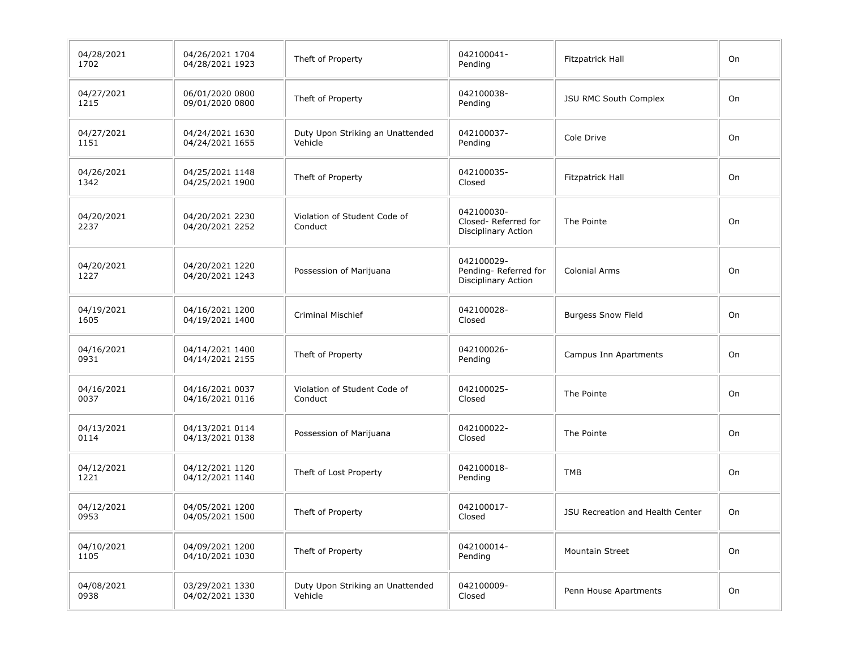| 04/28/2021<br>1702 | 04/26/2021 1704<br>04/28/2021 1923 | Theft of Property                           | 042100041-<br>Pending                                     | Fitzpatrick Hall                 | On |
|--------------------|------------------------------------|---------------------------------------------|-----------------------------------------------------------|----------------------------------|----|
| 04/27/2021<br>1215 | 06/01/2020 0800<br>09/01/2020 0800 | Theft of Property                           | 042100038-<br>Pending                                     | JSU RMC South Complex            | On |
| 04/27/2021<br>1151 | 04/24/2021 1630<br>04/24/2021 1655 | Duty Upon Striking an Unattended<br>Vehicle | 042100037-<br>Pending                                     | Cole Drive                       | On |
| 04/26/2021<br>1342 | 04/25/2021 1148<br>04/25/2021 1900 | Theft of Property                           | 042100035-<br>Closed                                      | Fitzpatrick Hall                 | On |
| 04/20/2021<br>2237 | 04/20/2021 2230<br>04/20/2021 2252 | Violation of Student Code of<br>Conduct     | 042100030-<br>Closed-Referred for<br>Disciplinary Action  | The Pointe                       | On |
| 04/20/2021<br>1227 | 04/20/2021 1220<br>04/20/2021 1243 | Possession of Marijuana                     | 042100029-<br>Pending-Referred for<br>Disciplinary Action | Colonial Arms                    | On |
| 04/19/2021<br>1605 | 04/16/2021 1200<br>04/19/2021 1400 | <b>Criminal Mischief</b>                    | 042100028-<br>Closed                                      | <b>Burgess Snow Field</b>        | On |
| 04/16/2021<br>0931 | 04/14/2021 1400<br>04/14/2021 2155 | Theft of Property                           | 042100026-<br>Pending                                     | Campus Inn Apartments            | On |
| 04/16/2021<br>0037 | 04/16/2021 0037<br>04/16/2021 0116 | Violation of Student Code of<br>Conduct     | 042100025-<br>Closed                                      | The Pointe                       | On |
| 04/13/2021<br>0114 | 04/13/2021 0114<br>04/13/2021 0138 | Possession of Marijuana                     | 042100022-<br>Closed                                      | The Pointe                       | On |
| 04/12/2021<br>1221 | 04/12/2021 1120<br>04/12/2021 1140 | Theft of Lost Property                      | 042100018-<br>Pending                                     | <b>TMB</b>                       | On |
| 04/12/2021<br>0953 | 04/05/2021 1200<br>04/05/2021 1500 | Theft of Property                           | 042100017-<br>Closed                                      | JSU Recreation and Health Center | On |
| 04/10/2021<br>1105 | 04/09/2021 1200<br>04/10/2021 1030 | Theft of Property                           | 042100014-<br>Pending                                     | Mountain Street                  | On |
| 04/08/2021<br>0938 | 03/29/2021 1330<br>04/02/2021 1330 | Duty Upon Striking an Unattended<br>Vehicle | 042100009-<br>Closed                                      | Penn House Apartments            | On |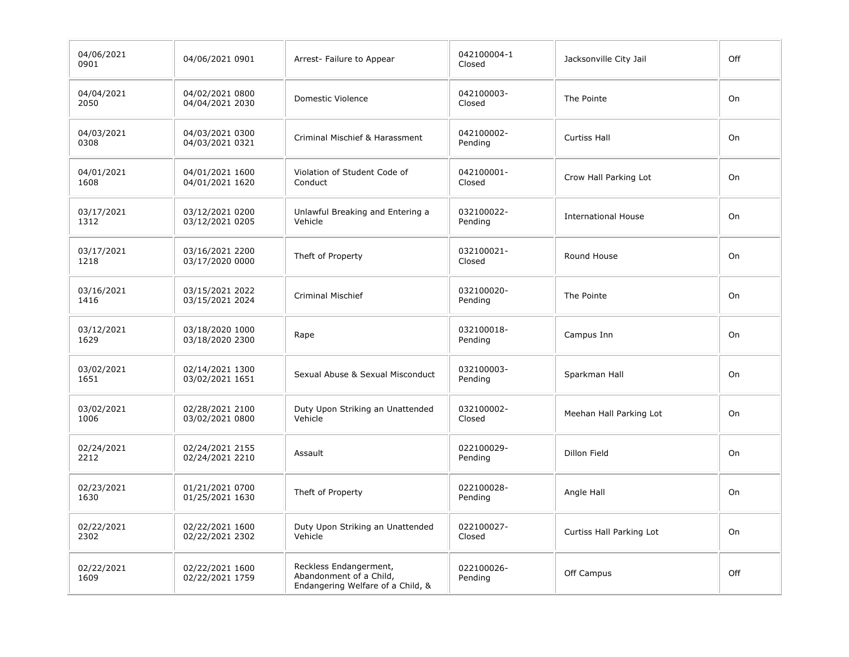| 04/06/2021<br>0901 | 04/06/2021 0901                    | Arrest- Failure to Appear                                                              | 042100004-1<br>Closed | Jacksonville City Jail     | Off |
|--------------------|------------------------------------|----------------------------------------------------------------------------------------|-----------------------|----------------------------|-----|
| 04/04/2021<br>2050 | 04/02/2021 0800<br>04/04/2021 2030 | Domestic Violence                                                                      | 042100003-<br>Closed  | The Pointe                 | On  |
| 04/03/2021<br>0308 | 04/03/2021 0300<br>04/03/2021 0321 | Criminal Mischief & Harassment                                                         | 042100002-<br>Pending | <b>Curtiss Hall</b>        | On  |
| 04/01/2021<br>1608 | 04/01/2021 1600<br>04/01/2021 1620 | Violation of Student Code of<br>Conduct                                                | 042100001-<br>Closed  | Crow Hall Parking Lot      | On  |
| 03/17/2021<br>1312 | 03/12/2021 0200<br>03/12/2021 0205 | Unlawful Breaking and Entering a<br>Vehicle                                            | 032100022-<br>Pending | <b>International House</b> | On  |
| 03/17/2021<br>1218 | 03/16/2021 2200<br>03/17/2020 0000 | Theft of Property                                                                      | 032100021-<br>Closed  | Round House                | On  |
| 03/16/2021<br>1416 | 03/15/2021 2022<br>03/15/2021 2024 | <b>Criminal Mischief</b>                                                               | 032100020-<br>Pending | The Pointe                 | On  |
| 03/12/2021<br>1629 | 03/18/2020 1000<br>03/18/2020 2300 | Rape                                                                                   | 032100018-<br>Pending | Campus Inn                 | On  |
| 03/02/2021<br>1651 | 02/14/2021 1300<br>03/02/2021 1651 | Sexual Abuse & Sexual Misconduct                                                       | 032100003-<br>Pending | Sparkman Hall              | On  |
| 03/02/2021<br>1006 | 02/28/2021 2100<br>03/02/2021 0800 | Duty Upon Striking an Unattended<br>Vehicle                                            | 032100002-<br>Closed  | Meehan Hall Parking Lot    | On  |
| 02/24/2021<br>2212 | 02/24/2021 2155<br>02/24/2021 2210 | Assault                                                                                | 022100029-<br>Pending | <b>Dillon Field</b>        | On  |
| 02/23/2021<br>1630 | 01/21/2021 0700<br>01/25/2021 1630 | Theft of Property                                                                      | 022100028-<br>Pending | Angle Hall                 | On  |
| 02/22/2021<br>2302 | 02/22/2021 1600<br>02/22/2021 2302 | Duty Upon Striking an Unattended<br>Vehicle                                            | 022100027-<br>Closed  | Curtiss Hall Parking Lot   | On  |
| 02/22/2021<br>1609 | 02/22/2021 1600<br>02/22/2021 1759 | Reckless Endangerment,<br>Abandonment of a Child,<br>Endangering Welfare of a Child, & | 022100026-<br>Pending | Off Campus                 | Off |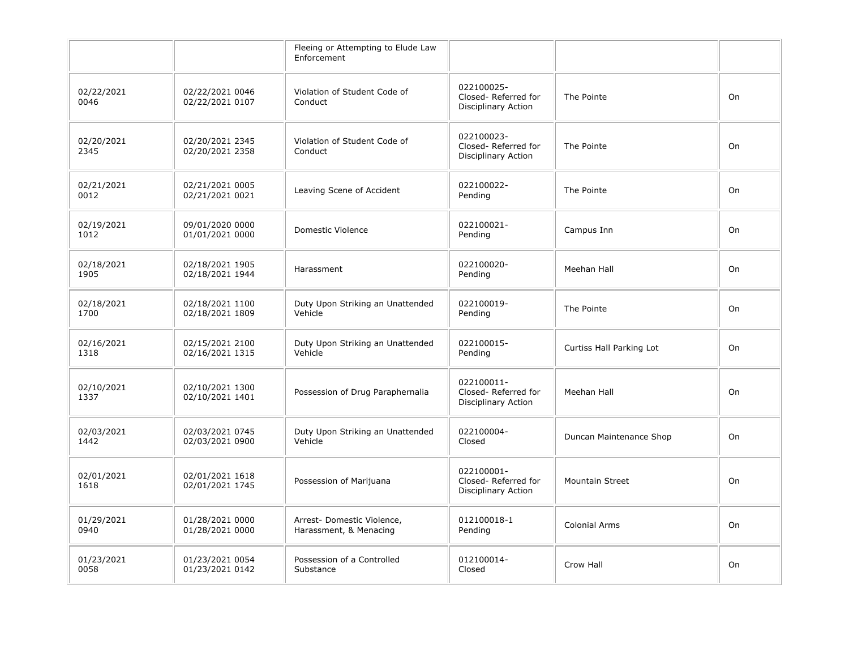|                    |                                    | Fleeing or Attempting to Elude Law<br>Enforcement    |                                                          |                          |    |
|--------------------|------------------------------------|------------------------------------------------------|----------------------------------------------------------|--------------------------|----|
| 02/22/2021<br>0046 | 02/22/2021 0046<br>02/22/2021 0107 | Violation of Student Code of<br>Conduct              | 022100025-<br>Closed-Referred for<br>Disciplinary Action | The Pointe               | On |
| 02/20/2021<br>2345 | 02/20/2021 2345<br>02/20/2021 2358 | Violation of Student Code of<br>Conduct              | 022100023-<br>Closed-Referred for<br>Disciplinary Action | The Pointe               | On |
| 02/21/2021<br>0012 | 02/21/2021 0005<br>02/21/2021 0021 | Leaving Scene of Accident                            | 022100022-<br>Pending                                    | The Pointe               | On |
| 02/19/2021<br>1012 | 09/01/2020 0000<br>01/01/2021 0000 | Domestic Violence                                    | 022100021-<br>Pending                                    | Campus Inn               | On |
| 02/18/2021<br>1905 | 02/18/2021 1905<br>02/18/2021 1944 | Harassment                                           | 022100020-<br>Pending                                    | Meehan Hall              | On |
| 02/18/2021<br>1700 | 02/18/2021 1100<br>02/18/2021 1809 | Duty Upon Striking an Unattended<br>Vehicle          | 022100019-<br>Pending                                    | The Pointe               | On |
| 02/16/2021<br>1318 | 02/15/2021 2100<br>02/16/2021 1315 | Duty Upon Striking an Unattended<br>Vehicle          | 022100015-<br>Pending                                    | Curtiss Hall Parking Lot | On |
| 02/10/2021<br>1337 | 02/10/2021 1300<br>02/10/2021 1401 | Possession of Drug Paraphernalia                     | 022100011-<br>Closed-Referred for<br>Disciplinary Action | Meehan Hall              | On |
| 02/03/2021<br>1442 | 02/03/2021 0745<br>02/03/2021 0900 | Duty Upon Striking an Unattended<br>Vehicle          | 022100004-<br>Closed                                     | Duncan Maintenance Shop  | On |
| 02/01/2021<br>1618 | 02/01/2021 1618<br>02/01/2021 1745 | Possession of Marijuana                              | 022100001-<br>Closed-Referred for<br>Disciplinary Action | <b>Mountain Street</b>   | On |
| 01/29/2021<br>0940 | 01/28/2021 0000<br>01/28/2021 0000 | Arrest- Domestic Violence,<br>Harassment, & Menacing | 012100018-1<br>Pending                                   | <b>Colonial Arms</b>     | On |
| 01/23/2021<br>0058 | 01/23/2021 0054<br>01/23/2021 0142 | Possession of a Controlled<br>Substance              | 012100014-<br>Closed                                     | Crow Hall                | On |